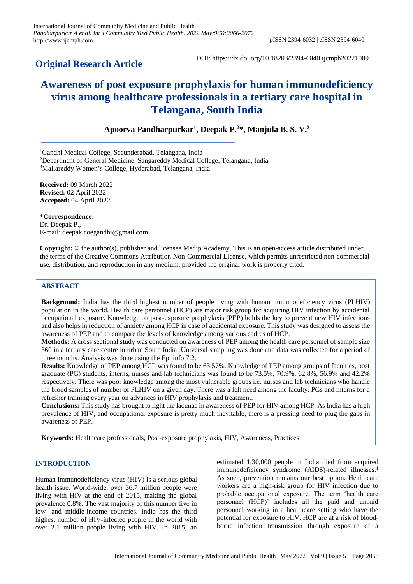## **Original Research Article**

DOI: https://dx.doi.org/10.18203/2394-6040.ijcmph20221009

# **Awareness of post exposure prophylaxis for human immunodeficiency virus among healthcare professionals in a tertiary care hospital in Telangana, South India**

**Apoorva Pandharpurkar<sup>1</sup> , Deepak P.<sup>2</sup>\*, Manjula B. S. V.<sup>3</sup>**

<sup>1</sup>Gandhi Medical College, Secunderabad, Telangana, India

<sup>2</sup>Department of General Medicine, Sangareddy Medical College, Telangana, India

<sup>3</sup>Mallareddy Women's College, Hyderabad, Telangana, India

**Received:** 09 March 2022 **Revised:** 02 April 2022 **Accepted:** 04 April 2022

**\*Correspondence:**

Dr. Deepak P., E-mail: deepak.coegandhi@gmail.com

**Copyright:** © the author(s), publisher and licensee Medip Academy. This is an open-access article distributed under the terms of the Creative Commons Attribution Non-Commercial License, which permits unrestricted non-commercial use, distribution, and reproduction in any medium, provided the original work is properly cited.

## **ABSTRACT**

**Background:** India has the third highest number of people living with human immunodeficiency virus (PLHIV) population in the world. Health care personnel (HCP) are major risk group for acquiring HIV infection by accidental occupational exposure. Knowledge on post-exposure prophylaxis (PEP) holds the key to prevent new HIV infections and also helps in reduction of anxiety among HCP in case of accidental exposure. This study was designed to assess the awareness of PEP and to compare the levels of knowledge among various cadres of HCP.

**Methods:** A cross sectional study was conducted on awareness of PEP among the health care personnel of sample size 360 in a tertiary care centre in urban South India. Universal sampling was done and data was collected for a period of three months. Analysis was done using the Epi info 7.2.

**Results:** Knowledge of PEP among HCP was found to be 63.57%. Knowledge of PEP among groups of faculties, post graduate (PG) students, interns, nurses and lab technicians was found to be 73.5%, 70.9%, 62.8%, 56.9% and 42.2% respectively. There was poor knowledge among the most vulnerable groups i.e. nurses and lab technicians who handle the blood samples of number of PLHIV on a given day. There was a felt need among the faculty, PGs and interns for a refresher training every year on advances in HIV prophylaxis and treatment.

**Conclusions:** This study has brought to light the lacunae in awareness of PEP for HIV among HCP. As India has a high prevalence of HIV, and occupational exposure is pretty much inevitable, there is a pressing need to plug the gaps in awareness of PEP.

**Keywords:** Healthcare professionals, Post-exposure prophylaxis, HIV, Awareness, Practices

## **INTRODUCTION**

Human immunodeficiency virus (HIV) is a serious global health issue. World-wide, over 36.7 million people were living with HIV at the end of 2015, making the global prevalence 0.8%. The vast majority of this number live in low- and middle-income countries. India has the third highest number of HIV-infected people in the world with over 2.1 million people living with HIV. In 2015, an estimated 1,30,000 people in India died from acquired immunodeficiency syndrome (AIDS)-related illnesses.<sup>1</sup> As such, prevention remains our best option. Healthcare workers are a high-risk group for HIV infection due to probable occupational exposure. The term 'health care personnel (HCP)' includes all the paid and unpaid personnel working in a healthcare setting who have the potential for exposure to HIV. HCP are at a risk of bloodborne infection transmission through exposure of a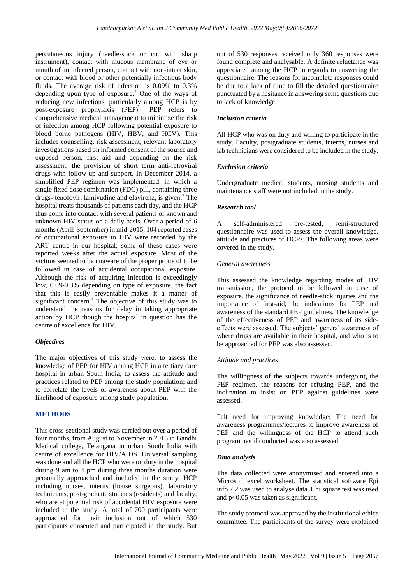percutaneous injury (needle-stick or cut with sharp instrument), contact with mucous membrane of eye or mouth of an infected person, contact with non-intact skin, or contact with blood or other potentially infectious body fluids. The average risk of infection is 0.09% to 0.3% depending upon type of exposure.<sup>2</sup> One of the ways of reducing new infections, particularly among HCP is by post-exposure prophylaxis (PEP).<sup>1</sup> PEP refers to comprehensive medical management to minimize the risk of infection among HCP following potential exposure to blood borne pathogens (HIV, HBV, and HCV). This includes counselling, risk assessment, relevant laboratory investigations based on informed consent of the source and exposed person, first aid and depending on the risk assessment, the provision of short term anti-retroviral drugs with follow-up and support. In December 2014, a simplified PEP regimen was implemented, in which a single fixed dose combination (FDC) pill, containing three drugs- tenofovir, lamivudine and efavirenz, is given. <sup>2</sup> The hospital treats thousands of patients each day, and the HCP thus come into contact with several patients of known and unknown HIV status on a daily basis. Over a period of 6 months (April-September) in mid-2015, 104 reported cases of occupational exposure to HIV were recorded by the ART centre in our hospital; some of these cases were reported weeks after the actual exposure. Most of the victims seemed to be unaware of the proper protocol to be followed in case of accidental occupational exposure. Although the risk of acquiring infection is exceedingly low, 0.09-0.3% depending on type of exposure, the fact that this is easily preventable makes it a matter of significant concern. <sup>3</sup> The objective of this study was to understand the reasons for delay in taking appropriate action by HCP though the hospital in question has the centre of excellence for HIV.

## *Objectives*

The major objectives of this study were: to assess the knowledge of PEP for HIV among HCP in a tertiary care hospital in urban South India; to assess the attitude and practices related to PEP among the study population; and to correlate the levels of awareness about PEP with the likelihood of exposure among study population.

## **METHODS**

This cross-sectional study was carried out over a period of four months, from August to November in 2016 in Gandhi Medical college, Telangana in urban South India with centre of excellence for HIV/AIDS. Universal sampling was done and all the HCP who were on duty in the hospital during 9 am to 4 pm during three months duration were personally approached and included in the study. HCP including nurses, interns (house surgeons), laboratory technicians, post-graduate students (residents) and faculty, who are at potential risk of accidental HIV exposure were included in the study. A total of 700 participants were approached for their inclusion out of which 530 participants consented and participated in the study. But

out of 530 responses received only 360 responses were found complete and analysable. A definite reluctance was appreciated among the HCP in regards to answering the questionnaire. The reasons for incomplete responses could be due to a lack of time to fill the detailed questionnaire punctuated by a hesitance in answering some questions due to lack of knowledge.

## *Inclusion criteria*

All HCP who was on duty and willing to participate in the study. Faculty, postgraduate students, interns, nurses and lab technicians were considered to be included in the study.

## *Exclusion criteria*

Undergraduate medical students, nursing students and maintenance staff were not included in the study.

## *Research tool*

A self-administered pre-tested, semi-structured questionnaire was used to assess the overall knowledge, attitude and practices of HCPs. The following areas were covered in the study.

## *General awareness*

This assessed the knowledge regarding modes of HIV transmission, the protocol to be followed in case of exposure, the significance of needle-stick injuries and the importance of first-aid, the indications for PEP and awareness of the standard PEP guidelines. The knowledge of the effectiveness of PEP and awareness of its sideeffects were assessed. The subjects' general awareness of where drugs are available in their hospital, and who is to be approached for PEP was also assessed.

## *Attitude and practices*

The willingness of the subjects towards undergoing the PEP regimen, the reasons for refusing PEP, and the inclination to insist on PEP against guidelines were assessed.

Felt need for improving knowledge: The need for awareness programmes/lectures to improve awareness of PEP and the willingness of the HCP to attend such programmes if conducted was also assessed.

## *Data analysis*

The data collected were anonymised and entered into a Microsoft excel worksheet. The statistical software Epi info 7.2 was used to analyse data. Chi square test was used and p<0.05 was taken as significant.

The study protocol was approved by the institutional ethics committee. The participants of the survey were explained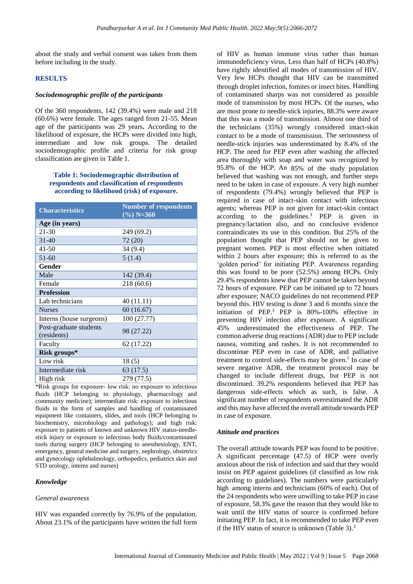about the study and verbal consent was taken from them before including in the study.

## **RESULTS**

#### *Sociodemographic profile of the participants*

Of the 360 respondents, 142 (39.4%) were male and 218 (60.6%) were female. The ages ranged from 21-55. Mean age of the participants was 29 years**.** According to the likelihood of exposure, the HCPs were divided into high, intermediate and low risk groups. The detailed sociodemographic profile and criteria for risk group classification are given in Table 1.

## **Table 1: Sociodemographic distribution of respondents and classification of respondents according to likelihood (risk) of exposure.**

| <b>Characteristics</b>   | <b>Number of respondents</b><br>$(\%)$ N=360 |
|--------------------------|----------------------------------------------|
| Age (in years)           |                                              |
| 21-30                    | 249 (69.2)                                   |
| $31 - 40$                | 72(20)                                       |
| 41-50                    | 34 (9.4)                                     |
| 51-60                    | 5(1.4)                                       |
| Gender                   |                                              |
| Male                     | 142 (39.4)                                   |
| Female                   | 218 (60.6)                                   |
| <b>Profession</b>        |                                              |
| Lab technicians          | 40 (11.11)                                   |
| <b>Nurses</b>            | 60 (16.67)                                   |
| Interns (house surgeons) | 100 (27.77)                                  |
| Post-graduate students   | 98 (27.22)                                   |
| (residents)              |                                              |
| Faculty                  | 62 (17.22)                                   |
| Risk groups*             |                                              |
| Low risk                 | 18(5)                                        |
| Intermediate risk        | 63 (17.5)                                    |
| High risk                | 279 (77.5)                                   |

\*Risk groups for exposure- low risk: no exposure to infectious fluids (HCP belonging to physiology, pharmacology and community medicine); intermediate risk: exposure to infectious fluids in the form of samples and handling of contaminated equipment like containers, slides, and tools (HCP belonging to biochemistry, microbiology and pathology); and high risk: exposure to patients of known and unknown HIV status-needlestick injury or exposure to infectious body fluids/contaminated tools during surgery (HCP belonging to anesthesiology, ENT, emergency, general medicine and surgery, nephrology, obstetrics and gynecology ophthalmology, orthopedics, pediatrics skin and STD urology, interns and nurses)

## *Knowledge*

#### *General awareness*

HIV was expanded correctly by 76.9% of the population. About 23.1% of the participants have written the full form

of HIV as human immune virus rather than human immunodeficiency virus. Less than half of HCPs (40.8%) have rightly identified all modes of transmission of HIV. Very few HCPs thought that HIV can be transmitted through droplet infection, fomites or insect bites. Handling of contaminated sharps was not considered as possible mode of transmission by most HCPs. Of the nurses, who are most prone to needle-stick injuries, 88.3% were aware that this was a mode of transmission. Almost one third of the technicians (35%) wrongly considered intact-skin contact to be a mode of transmission. The seriousness of needle-stick injuries was underestimated by 8.4% of the HCP. The need for PEP even after washing the affected area thoroughly with soap and water was recognized by 95.8% of the HCP. An 85% of the study population believed that washing was not enough, and further steps need to be taken in case of exposure. A very high number of respondents (79.4%) wrongly believed that PEP is required in case of intact-skin contact with infectious agents; whereas PEP is not given for intact-skin contact according to the guidelines. <sup>3</sup> PEP is given in pregnancy/lactation also, and no conclusive evidence contraindicates its use in this condition. But 25% of the population thought that PEP should not be given to pregnant women. PEP is most effective when initiated within 2 hours after exposure; this is referred to as the 'golden period' for initiating PEP. Awareness regarding this was found to be poor (52.5%) among HCPs. Only 29.4% respondents knew that PEP cannot be taken beyond 72 hours of exposure. PEP can be initiated up to 72 hours after exposure; NACO guidelines do not recommend PEP beyond this. HIV testing is done 3 and 6 months since the initiation of PEP. <sup>3</sup> PEP is 80%-100% effective in preventing HIV infection after exposure. A significant 45% underestimated the effectiveness of PEP. The common adverse drug reactions (ADR) due to PEP include nausea, vomiting and rashes. It is not recommended to discontinue PEP even in case of ADR, and palliative treatment to control side-effects may be given. $<sup>1</sup>$  In case of</sup> severe negative ADR, the treatment protocol may be changed to include different drugs, but PEP is not discontinued. 39.2% respondents believed that PEP has dangerous side-effects which as such, is false. A significant number of respondents overestimated the ADR and this may have affected the overall attitude towards PEP in case of exposure.

## *Attitude and practices*

The overall attitude towards PEP was found to be positive. A significant percentage (47.5) of HCP were overly anxious about the risk of infection and said that they would insist on PEP against guidelines (if classified as low risk according to guidelines). The numbers were particularly high among interns and technicians (60% of each). Out of the 24 respondents who were unwilling to take PEP in case of exposure, 58.3% gave the reason that they would like to wait until the HIV status of source is confirmed before initiating PEP. In fact, it is recommended to take PEP even if the HIV status of source is unknown (Table 3). $3$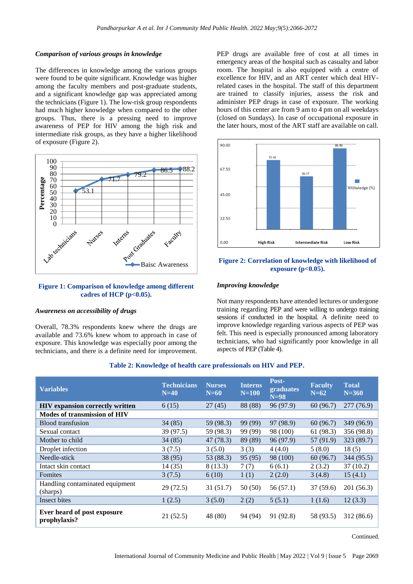## *Comparison of various groups in knowledge*

The differences in knowledge among the various groups were found to be quite significant. Knowledge was higher among the faculty members and post-graduate students, and a significant knowledge gap was appreciated among the technicians (Figure 1). The low-risk group respondents had much higher knowledge when compared to the other groups. Thus, there is a pressing need to improve awareness of PEP for HIV among the high risk and intermediate risk groups, as they have a higher likelihood of exposure (Figure 2).



## **Figure 1: Comparison of knowledge among different cadres of HCP (p<0.05).**

## *Awareness on accessibility of drugs*

Overall, 78.3% respondents knew where the drugs are available and 73.6% knew whom to approach in case of exposure. This knowledge was especially poor among the technicians, and there is a definite need for improvement.

PEP drugs are available free of cost at all times in emergency areas of the hospital such as casualty and labor room. The hospital is also equipped with a centre of excellence for HIV, and an ART center which deal HIVrelated cases in the hospital. The staff of this department are trained to classify injuries, assess the risk and administer PEP drugs in case of exposure. The working hours of this center are from 9 am to 4 pm on all weekdays (closed on Sundays). In case of occupational exposure in the later hours, most of the ART staff are available on call.



## **Figure 2: Correlation of knowledge with likelihood of exposure (p<0.05).**

## *Improving knowledge*

Not many respondents have attended lectures or undergone training regarding PEP and were willing to undergo training sessions if conducted in the hospital. A definite need to improve knowledge regarding various aspects of PEP was felt. This need is especially pronounced among laboratory technicians, who had significantly poor knowledge in all aspects of PEP (Table 4).

| <b>Variables</b>                            | <b>Technicians</b><br>$N=40$ | <b>Nurses</b><br>$N=60$ | <b>Interns</b><br>$N=100$ | Post-<br>graduates<br>$N=98$ | <b>Faculty</b><br>$N=62$ | <b>Total</b><br>$N = 360$ |
|---------------------------------------------|------------------------------|-------------------------|---------------------------|------------------------------|--------------------------|---------------------------|
| <b>HIV</b> expansion correctly written      | 6(15)                        | 27(45)                  | 88 (88)                   | 96 (97.9)                    | 60(96.7)                 | 277 (76.9)                |
| <b>Modes of transmission of HIV</b>         |                              |                         |                           |                              |                          |                           |
| Blood transfusion                           | 34(85)                       | 59 (98.3)               | 99 (99)                   | 97 (98.9)                    | 60(96.7)                 | 349 (96.9)                |
| Sexual contact                              | 39 (97.5)                    | 59 (98.3)               | 99 (99)                   | 98 (100)                     | 61 (98.3)                | 356 (98.8)                |
| Mother to child                             | 34(85)                       | 47(78.3)                | 89 (89)                   | 96 (97.9)                    | 57 (91.9)                | 323 (89.7)                |
| Droplet infection                           | 3(7.5)                       | 3(5.0)                  | 3(3)                      | 4(4.0)                       | 5(8.0)                   | 18(5)                     |
| Needle-stick                                | 38 (95)                      | 53 (88.3)               | 95(95)                    | 98 (100)                     | 60(96.7)                 | 344 (95.5)                |
| Intact skin contact                         | 14(35)                       | 8(13.3)                 | 7(7)                      | 6(6.1)                       | 2(3.2)                   | 37(10.2)                  |
| Fomites                                     | 3(7.5)                       | 6(10)                   | 1(1)                      | 2(2.0)                       | 3(4.8)                   | 15(4.1)                   |
| Handling contaminated equipment<br>(sharps) | 29(72.5)                     | 31(51.7)                | 50(50)                    | 56(57.1)                     | 37(59.6)                 | 201 (56.3)                |
| Insect bites                                | 1(2.5)                       | 3(5.0)                  | 2(2)                      | 5(5.1)                       | 1(1.6)                   | 12(3.3)                   |
| Ever heard of post exposure<br>prophylaxis? | 21(52.5)                     | 48(80)                  | 94 (94)                   | 91 (92.8)                    | 58 (93.5)                | 312 (86.6)                |

## **Table 2: Knowledge of health care professionals on HIV and PEP.**

Continued.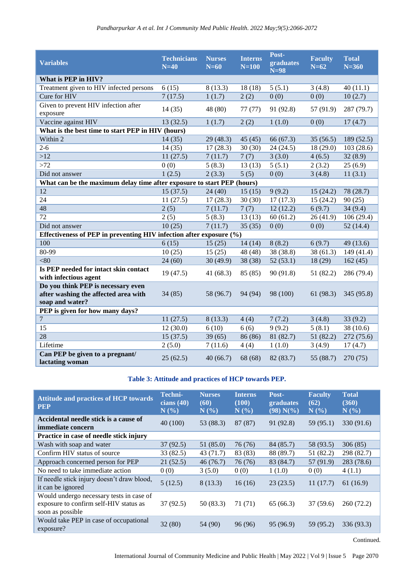| <b>Variables</b>                                                       | <b>Technicians</b><br>$N=40$ | <b>Nurses</b><br>$N=60$ | <b>Interns</b><br>$N=100$ | Post-<br>graduates<br>$N=98$ | <b>Faculty</b><br>$N=62$ | <b>Total</b><br>$N = 360$ |  |
|------------------------------------------------------------------------|------------------------------|-------------------------|---------------------------|------------------------------|--------------------------|---------------------------|--|
| What is PEP in HIV?                                                    |                              |                         |                           |                              |                          |                           |  |
| Treatment given to HIV infected persons                                | 6(15)                        | 8(13.3)                 | 18(18)                    | 5(5.1)                       | 3(4.8)                   | 40(11.1)                  |  |
| Cure for HIV                                                           | 7(17.5)                      | 1(1.7)                  | 2(2)                      | 0(0)                         | 0(0)                     | 10(2.7)                   |  |
| Given to prevent HIV infection after<br>exposure                       | 14(35)                       | 48 (80)                 | 77(77)                    | 91 (92.8)                    | 57 (91.9)                | 287 (79.7)                |  |
| Vaccine against HIV                                                    | 13(32.5)                     | 1(1.7)                  | 2(2)                      | 1(1.0)                       | 0(0)                     | 17(4.7)                   |  |
| What is the best time to start PEP in HIV (hours)                      |                              |                         |                           |                              |                          |                           |  |
| Within 2                                                               | 14(35)                       | 29(48.3)                | 45(45)                    | 66 (67.3)                    | 35(56.5)                 | 189 (52.5)                |  |
| $2 - 6$                                                                | 14(35)                       | 17(28.3)                | 30(30)                    | 24(24.5)                     | 18 (29.0)                | 103(28.6)                 |  |
| >12                                                                    | 11(27.5)                     | 7(11.7)                 | 7(7)                      | 3(3.0)                       | 4(6.5)                   | 32(8.9)                   |  |
| >72                                                                    | 0(0)                         | 5(8.3)                  | 13(13)                    | 5(5.1)                       | 2(3.2)                   | 25(6.9)                   |  |
| Did not answer                                                         | 1(2.5)                       | 2(3.3)                  | 5(5)                      | 0(0)                         | 3(4.8)                   | 11(3.1)                   |  |
| What can be the maximum delay time after exposure to start PEP (hours) |                              |                         |                           |                              |                          |                           |  |
| 12                                                                     | 15(37.5)                     | 24(40)                  | 15(15)                    | 9(9.2)                       | 15(24.2)                 | 78 (28.7)                 |  |
| 24                                                                     | 11(27.5)                     | 17(28.3)                | 30(30)                    | 17(17.3)                     | 15(24.2)                 | 90(25)                    |  |
| 48                                                                     | 2(5)                         | 7(11.7)                 | 7(7)                      | 12(12.2)                     | 6(9.7)                   | 34(9.4)                   |  |
| 72                                                                     | 2(5)                         | 5(8.3)                  | $\overline{1}3(13)$       | 60(61.2)                     | 26(41.9)                 | 106(29.4)                 |  |
| Did not answer                                                         | 10(25)                       | 7(11.7)                 | 35(35)                    | 0(0)                         | 0(0)                     | 52(14.4)                  |  |
| Effectiveness of PEP in preventing HIV infection after exposure (%)    |                              |                         |                           |                              |                          |                           |  |
| 100                                                                    | 6(15)                        | 15(25)                  | 14(14)                    | 8(8.2)                       | 6(9.7)                   | 49 (13.6)                 |  |
| 80-99                                                                  | 10(25)                       | 15(25)                  | 48 (48)                   | 38 (38.8)                    | 38(61.3)                 | 149(41.4)                 |  |
| < 80                                                                   | 24(60)                       | 30(49.9)                | 38 (38)                   | 52(53.1)                     | 18 (29)                  | 162(45)                   |  |
| Is PEP needed for intact skin contact<br>with infectious agent         | 19(47.5)                     | 41(68.3)                | 85 (85)                   | 90(91.8)                     | 51(82.2)                 | 286 (79.4)                |  |
| Do you think PEP is necessary even                                     |                              |                         |                           |                              |                          |                           |  |
| after washing the affected area with                                   | 34(85)                       | 58 (96.7)               | 94 (94)                   | 98 (100)                     | 61(98.3)                 | 345 (95.8)                |  |
| soap and water?                                                        |                              |                         |                           |                              |                          |                           |  |
| PEP is given for how many days?                                        |                              |                         |                           |                              |                          |                           |  |
| $\overline{7}$                                                         | 11(27.5)                     | 8(13.3)                 | 4(4)                      | 7(7.2)                       | 3(4.8)                   | 33(9.2)                   |  |
| 15                                                                     | 12(30.0)                     | 6(10)                   | 6(6)                      | 9(9.2)                       | 5(8.1)                   | 38 (10.6)                 |  |
| $\overline{28}$                                                        | 15(37.5)                     | 39(65)                  | 86 (86)                   | 81 (82.7)                    | 51(82.2)                 | 272(75.6)                 |  |
| Lifetime                                                               | 2(5.0)                       | 7(11.6)                 | 4(4)                      | 1(1.0)                       | 3(4.9)                   | 17(4.7)                   |  |
| Can PEP be given to a pregnant/<br>lactating woman                     | 25(62.5)                     | 40(66.7)                | 68 (68)                   | 82 (83.7)                    | 55 (88.7)                | 270 (75)                  |  |

## **Table 3: Attitude and practices of HCP towards PEP.**

| <b>Attitude and practices of HCP towards</b><br><b>PEP</b>                                             | Techni-<br>cians $(40)$<br>N(% | Nurses.<br>(60)<br>$N(\%)$ | <b>Interns</b><br>(100)<br>N(% | Post-<br>graduates<br>$(98) N(\%)$ | <b>Faculty</b><br>(62)<br>N(%) | <b>Total</b><br>(360)<br>N(% |
|--------------------------------------------------------------------------------------------------------|--------------------------------|----------------------------|--------------------------------|------------------------------------|--------------------------------|------------------------------|
| Accidental needle stick is a cause of<br>immediate concern                                             | 40 (100)                       | 53 (88.3)                  | 87 (87)                        | 91 (92.8)                          | 59 (95.1)                      | 330 (91.6)                   |
| Practice in case of needle stick injury                                                                |                                |                            |                                |                                    |                                |                              |
| Wash with soap and water                                                                               | 37(92.5)                       | 51(85.0)                   | 76 (76)                        | 84 (85.7)                          | 58 (93.5)                      | 306(85)                      |
| Confirm HIV status of source                                                                           | 33(82.5)                       | 43(71.7)                   | 83 (83)                        | 88 (89.7)                          | 51 (82.2)                      | 298 (82.7)                   |
| Approach concerned person for PEP                                                                      | 21(52.5)                       | 46(76.7)                   | 76 (76)                        | 83 (84.7)                          | 57 (91.9)                      | 283 (78.6)                   |
| No need to take immediate action                                                                       | 0(0)                           | 3(5.0)                     | 0(0)                           | 1(1.0)                             | 0(0)                           | 4(1.1)                       |
| If needle stick injury doesn't draw blood,<br>it can be ignored                                        | 5(12.5)                        | 8(13.3)                    | 16(16)                         | 23(23.5)                           | 11(17.7)                       | 61(16.9)                     |
| Would undergo necessary tests in case of<br>exposure to confirm self-HIV status as<br>soon as possible | 37(92.5)                       | 50(83.3)                   | 71 (71)                        | 65(66.3)                           | 37(59.6)                       | 260 (72.2)                   |
| Would take PEP in case of occupational<br>exposure?                                                    | 32(80)                         | 54 (90)                    | 96 (96)                        | 95 (96.9)                          | 59 (95.2)                      | 336 (93.3)                   |

Continued.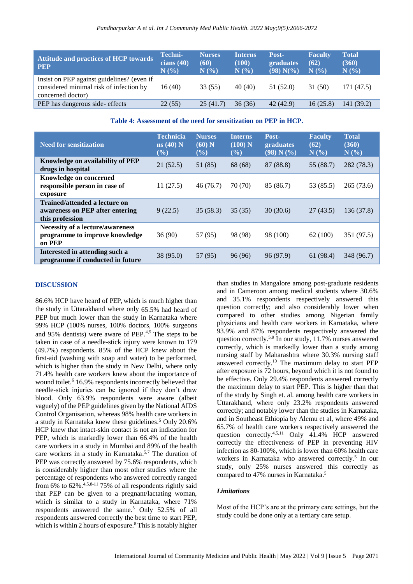| <b>Attitude and practices of HCP towards</b><br><b>PEP</b>                                                 | Techni-<br>cians $(40)$<br>N(%) | <b>Nurses</b><br>(60)<br>N(% | <b>Interns</b><br>(100)<br>N(%) | Post-<br>graduates<br>$(98) N\%$ | <b>Faculty</b><br>(62)<br>N(%) | <b>Total</b><br>(360)<br>N(%) |
|------------------------------------------------------------------------------------------------------------|---------------------------------|------------------------------|---------------------------------|----------------------------------|--------------------------------|-------------------------------|
| Insist on PEP against guidelines? (even if<br>considered minimal risk of infection by<br>concerned doctor) | 16(40)                          | 33(55)                       | 40 (40)                         | 51 (52.0)                        | 31 (50)                        | 171 (47.5)                    |
| PEP has dangerous side- effects                                                                            | 22(55)                          | 25(41.7)                     | 36(36)                          | 42 (42.9)                        | 16(25.8)                       | 141 (39.2)                    |

**Table 4: Assessment of the need for sensitization on PEP in HCP.**

| <b>Need for sensitization</b>                                                       | <b>Technicia</b><br>$ns(40)$ N<br>$(\%)$ | <b>Nurses</b><br>(60) N<br>$(\%)$ | <b>Interns</b><br>(100) N<br>$(\%)$ | Post-<br>graduates<br>(98) N (%) | <b>Faculty</b><br>(62)<br>N(%) | <b>Total</b><br>(360)<br>N(%) |
|-------------------------------------------------------------------------------------|------------------------------------------|-----------------------------------|-------------------------------------|----------------------------------|--------------------------------|-------------------------------|
| Knowledge on availability of PEP<br>drugs in hospital                               | 21(52.5)                                 | 51 (85)                           | 68 (68)                             | 87 (88.8)                        | 55 (88.7)                      | 282 (78.3)                    |
| Knowledge on concerned<br>responsible person in case of<br>exposure                 | 11(27.5)                                 | 46(76.7)                          | 70 (70)                             | 85 (86.7)                        | 53 (85.5)                      | 265(73.6)                     |
| Trained/attended a lecture on<br>awareness on PEP after entering<br>this profession | 9(22.5)                                  | 35(58.3)                          | 35(35)                              | 30(30.6)                         | 27(43.5)                       | 136 (37.8)                    |
| Necessity of a lecture/awareness<br>programme to improve knowledge<br>on PEP        | 36(90)                                   | 57 (95)                           | 98 (98)                             | 98 (100)                         | 62 (100)                       | 351 (97.5)                    |
| Interested in attending such a<br>programme if conducted in future                  | 38 (95.0)                                | 57 (95)                           | 96 (96)                             | 96 (97.9)                        | 61 (98.4)                      | 348 (96.7)                    |

## **DISCUSSION**

86.6% HCP have heard of PEP, which is much higher than the study in Uttarakhand where only 65.5% had heard of PEP but much lower than the study in Karnataka where 99% HCP (100% nurses, 100% doctors, 100% surgeons and 95% dentists) were aware of PEP. $4,5$  The steps to be taken in case of a needle-stick injury were known to 179 (49.7%) respondents. 85% of the HCP knew about the first-aid (washing with soap and water) to be performed, which is higher than the study in New Delhi, where only 71.4% health care workers knew about the importance of wound toilet.<sup>6</sup> 16.9% respondents incorrectly believed that needle-stick injuries can be ignored if they don't draw blood. Only 63.9% respondents were aware (albeit vaguely) of the PEP guidelines given by the National AIDS Control Organisation, whereas 98% health care workers in a study in Karnataka knew these guidelines.<sup>5</sup> Only 20.6% HCP knew that intact-skin contact is not an indication for PEP, which is markedly lower than 66.4% of the health care workers in a study in Mumbai and 89% of the health care workers in a study in Karnataka. 5,7 The duration of PEP was correctly answered by 75.6% respondents, which is considerably higher than most other studies where the percentage of respondents who answered correctly ranged from 6% to 62%.<sup>4,5,8-11</sup> 75% of all respondents rightly said that PEP can be given to a pregnant/lactating woman, which is similar to a study in Karnataka, where 71% respondents answered the same.<sup>5</sup> Only 52.5% of all respondents answered correctly the best time to start PEP, which is within 2 hours of exposure.<sup>8</sup> This is notably higher

than studies in Mangalore among post-graduate residents and in Cameroon among medical students where 30.6% and 35.1% respondents respectively answered this question correctly; and also considerably lower when compared to other studies among Nigerian family physicians and health care workers in Karnataka, where 93.9% and 87% respondents respectively answered the question correctly.<sup>5,9</sup> In our study, 11.7% nurses answered correctly, which is markedly lower than a study among nursing staff by Maharashtra where 30.3% nursing staff answered correctly.<sup>10</sup> The maximum delay to start PEP after exposure is 72 hours, beyond which it is not found to be effective. Only 29.4% respondents answered correctly the maximum delay to start PEP. This is higher than that of the study by Singh et. al. among health care workers in Uttarakhand, where only 23.2% respondents answered correctly; and notably lower than the studies in Karnataka, and in Southeast Ethiopia by Alemu et al, where 49% and 65.7% of health care workers respectively answered the question correctly.4,5,11 Only 41.4% HCP answered correctly the effectiveness of PEP in preventing HIV infection as 80-100%, which is lower than 60% health care workers in Karnataka who answered correctly.<sup>5</sup> In our study, only 25% nurses answered this correctly as compared to 47% nurses in Karnataka. 5

## *Limitations*

Most of the HCP's are at the primary care settings, but the study could be done only at a tertiary care setup.